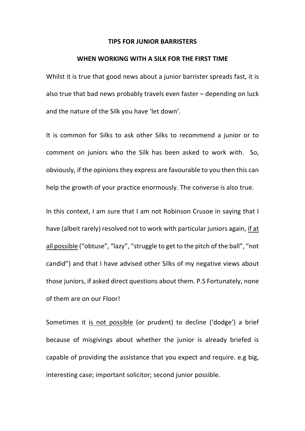#### **TIPS FOR JUNIOR BARRISTERS**

## **WHEN WORKING WITH A SILK FOR THE FIRST TIME**

Whilst it is true that good news about a junior barrister spreads fast, it is also true that bad news probably travels even faster – depending on luck and the nature of the Silk you have 'let down'.

It is common for Silks to ask other Silks to recommend a junior or to comment on juniors who the Silk has been asked to work with. So, obviously, if the opinions they express are favourable to you then this can help the growth of your practice enormously. The converse is also true.

In this context, I am sure that I am not Robinson Crusoe in saying that I have (albeit rarely) resolved not to work with particular juniors again, if at all possible ("obtuse", "lazy", "struggle to get to the pitch of the ball", "not candid") and that I have advised other Silks of my negative views about those juniors, if asked direct questions about them. P.S Fortunately, none of them are on our Floor!

Sometimes it is not possible (or prudent) to decline ('dodge') a brief because of misgivings about whether the junior is already briefed is capable of providing the assistance that you expect and require. e.g big, interesting case; important solicitor; second junior possible.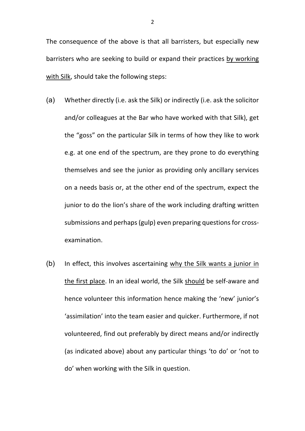The consequence of the above is that all barristers, but especially new barristers who are seeking to build or expand their practices by working with Silk, should take the following steps:

- (a) Whether directly (i.e. ask the Silk) or indirectly (i.e. ask the solicitor and/or colleagues at the Bar who have worked with that Silk), get the "goss" on the particular Silk in terms of how they like to work e.g. at one end of the spectrum, are they prone to do everything themselves and see the junior as providing only ancillary services on a needs basis or, at the other end of the spectrum, expect the junior to do the lion's share of the work including drafting written submissions and perhaps (gulp) even preparing questions for crossexamination.
- (b) In effect, this involves ascertaining why the Silk wants a junior in the first place. In an ideal world, the Silk should be self-aware and hence volunteer this information hence making the 'new' junior's 'assimilation' into the team easier and quicker. Furthermore, if not volunteered, find out preferably by direct means and/or indirectly (as indicated above) about any particular things 'to do' or 'not to do' when working with the Silk in question.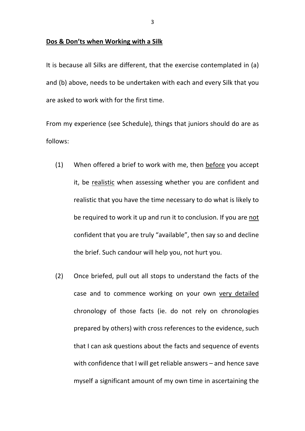### **Dos & Don'ts when Working with a Silk**

It is because all Silks are different, that the exercise contemplated in (a) and (b) above, needs to be undertaken with each and every Silk that you are asked to work with for the first time.

From my experience (see Schedule), things that juniors should do are as follows:

- (1) When offered a brief to work with me, then before you accept it, be realistic when assessing whether you are confident and realistic that you have the time necessary to do what is likely to be required to work it up and run it to conclusion. If you are not confident that you are truly "available", then say so and decline the brief. Such candour will help you, not hurt you.
- (2) Once briefed, pull out all stops to understand the facts of the case and to commence working on your own very detailed chronology of those facts (ie. do not rely on chronologies prepared by others) with cross references to the evidence, such that I can ask questions about the facts and sequence of events with confidence that I will get reliable answers – and hence save myself a significant amount of my own time in ascertaining the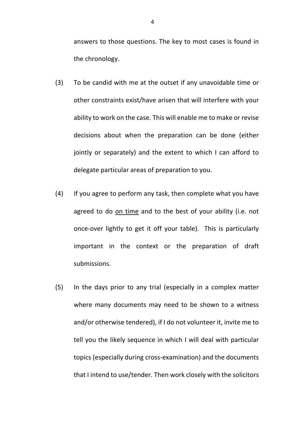answers to those questions. The key to most cases is found in the chronology.

- (3) To be candid with me at the outset if any unavoidable time or other constraints exist/have arisen that will interfere with your ability to work on the case. This will enable me to make or revise decisions about when the preparation can be done (either jointly or separately) and the extent to which I can afford to delegate particular areas of preparation to you.
- (4) If you agree to perform any task, then complete what you have agreed to do on time and to the best of your ability (i.e. not once-over lightly to get it off your table). This is particularly important in the context or the preparation of draft submissions.
- (5) In the days prior to any trial (especially in a complex matter where many documents may need to be shown to a witness and/or otherwise tendered), if I do not volunteer it, invite me to tell you the likely sequence in which I will deal with particular topics (especially during cross-examination) and the documents that I intend to use/tender. Then work closely with the solicitors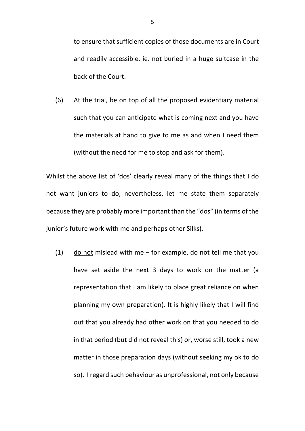to ensure that sufficient copies of those documents are in Court and readily accessible. ie. not buried in a huge suitcase in the back of the Court.

(6) At the trial, be on top of all the proposed evidentiary material such that you can anticipate what is coming next and you have the materials at hand to give to me as and when I need them (without the need for me to stop and ask for them).

Whilst the above list of 'dos' clearly reveal many of the things that I do not want juniors to do, nevertheless, let me state them separately because they are probably more important than the "dos" (in terms of the junior's future work with me and perhaps other Silks).

 $(1)$  do not mislead with me – for example, do not tell me that you have set aside the next 3 days to work on the matter (a representation that I am likely to place great reliance on when planning my own preparation). It is highly likely that I will find out that you already had other work on that you needed to do in that period (but did not reveal this) or, worse still, took a new matter in those preparation days (without seeking my ok to do so). I regard such behaviour as unprofessional, not only because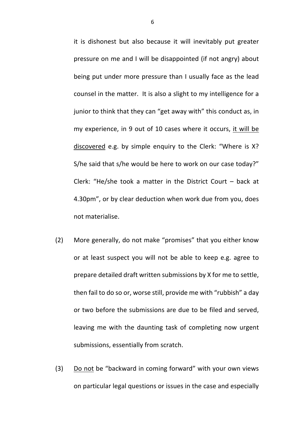it is dishonest but also because it will inevitably put greater pressure on me and I will be disappointed (if not angry) about being put under more pressure than I usually face as the lead counsel in the matter. It is also a slight to my intelligence for a junior to think that they can "get away with" this conduct as, in my experience, in 9 out of 10 cases where it occurs, it will be discovered e.g. by simple enquiry to the Clerk: "Where is X? S/he said that s/he would be here to work on our case today?" Clerk: "He/she took a matter in the District Court – back at 4.30pm", or by clear deduction when work due from you, does not materialise.

- (2) More generally, do not make "promises" that you either know or at least suspect you will not be able to keep e.g. agree to prepare detailed draft written submissions by X for me to settle, then fail to do so or, worse still, provide me with "rubbish" a day or two before the submissions are due to be filed and served, leaving me with the daunting task of completing now urgent submissions, essentially from scratch.
- (3) Do not be "backward in coming forward" with your own views on particular legal questions or issues in the case and especially

6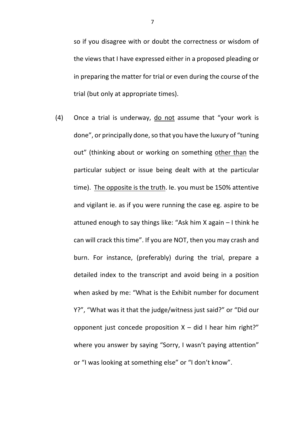so if you disagree with or doubt the correctness or wisdom of the views that I have expressed either in a proposed pleading or in preparing the matter for trial or even during the course of the trial (but only at appropriate times).

(4) Once a trial is underway, do not assume that "your work is done", or principally done, so that you have the luxury of "tuning" out" (thinking about or working on something other than the particular subject or issue being dealt with at the particular time). The opposite is the truth. Ie. you must be 150% attentive and vigilant ie. as if you were running the case eg. aspire to be attuned enough to say things like: "Ask him X again – I think he can will crack this time". If you are NOT, then you may crash and burn. For instance, (preferably) during the trial, prepare a detailed index to the transcript and avoid being in a position when asked by me: "What is the Exhibit number for document Y?", "What was it that the judge/witness just said?" or "Did our opponent just concede proposition  $X -$  did I hear him right?" where you answer by saying "Sorry, I wasn't paying attention" or "I was looking at something else" or "I don't know".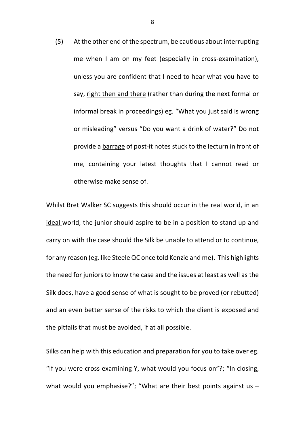(5) At the other end of the spectrum, be cautious about interrupting me when I am on my feet (especially in cross-examination), unless you are confident that I need to hear what you have to say, right then and there (rather than during the next formal or informal break in proceedings) eg. "What you just said is wrong or misleading" versus "Do you want a drink of water?" Do not provide a barrage of post-it notes stuck to the lecturn in front of me, containing your latest thoughts that I cannot read or otherwise make sense of.

Whilst Bret Walker SC suggests this should occur in the real world, in an ideal world, the junior should aspire to be in a position to stand up and carry on with the case should the Silk be unable to attend or to continue, for any reason (eg. like Steele QC once told Kenzie and me). This highlights the need for juniors to know the case and the issues at least as well as the Silk does, have a good sense of what is sought to be proved (or rebutted) and an even better sense of the risks to which the client is exposed and the pitfalls that must be avoided, if at all possible.

Silks can help with this education and preparation for you to take over eg. "If you were cross examining Y, what would you focus on"?; "In closing, what would you emphasise?"; "What are their best points against us -

8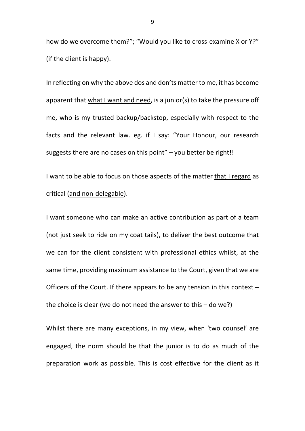how do we overcome them?"; "Would you like to cross-examine X or Y?" (if the client is happy).

In reflecting on why the above dos and don'ts matter to me, it has become apparent that what I want and need, is a junior(s) to take the pressure off me, who is my trusted backup/backstop, especially with respect to the facts and the relevant law. eg. if I say: "Your Honour, our research suggests there are no cases on this point"  $-$  you better be right!!

I want to be able to focus on those aspects of the matter that I regard as critical (and non-delegable).

I want someone who can make an active contribution as part of a team (not just seek to ride on my coat tails), to deliver the best outcome that we can for the client consistent with professional ethics whilst, at the same time, providing maximum assistance to the Court, given that we are Officers of the Court. If there appears to be any tension in this context – the choice is clear (we do not need the answer to this  $-$  do we?)

Whilst there are many exceptions, in my view, when 'two counsel' are engaged, the norm should be that the junior is to do as much of the preparation work as possible. This is cost effective for the client as it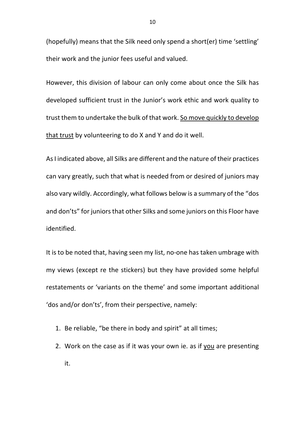(hopefully) means that the Silk need only spend a short(er) time 'settling' their work and the junior fees useful and valued.

However, this division of labour can only come about once the Silk has developed sufficient trust in the Junior's work ethic and work quality to trust them to undertake the bulk of that work. So move quickly to develop that trust by volunteering to do X and Y and do it well.

As I indicated above, all Silks are different and the nature of their practices can vary greatly, such that what is needed from or desired of juniors may also vary wildly. Accordingly, what follows below is a summary of the "dos and don'ts" for juniors that other Silks and some juniors on this Floor have identified.

It is to be noted that, having seen my list, no-one has taken umbrage with my views (except re the stickers) but they have provided some helpful restatements or 'variants on the theme' and some important additional 'dos and/or don'ts', from their perspective, namely:

- 1. Be reliable, "be there in body and spirit" at all times;
- 2. Work on the case as if it was your own ie. as if you are presenting it.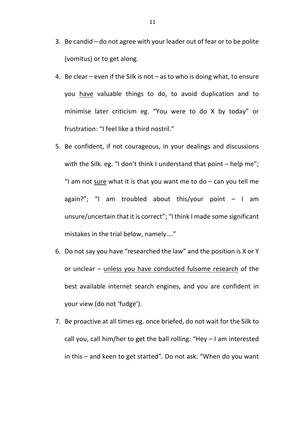- 3. Be candid do not agree with your leader out of fear or to be polite (vomitus) or to get along.
- 4. Be clear even if the Silk is not as to who is doing what, to ensure you have valuable things to do, to avoid duplication and to minimise later criticism eg. "You were to do X by today" or frustration: "I feel like a third nostril."
- 5. Be confident, if not courageous, in your dealings and discussions with the Silk. eg. "I don't think I understand that point – help me"; "I am not sure what it is that you want me to do  $-$  can you tell me again?"; "I am troubled about this/your point  $-$  I am unsure/uncertain that it is correct"; "I think I made some significant mistakes in the trial below, namely…."
- 6. Do not say you have "researched the law" and the position is X or Y or unclear – unless you have conducted fulsome research of the best available internet search engines, and you are confident in your view (do not 'fudge').
- 7. Be proactive at all times eg. once briefed, do not wait for the Silk to call you, call him/her to get the ball rolling: "Hey – I am interested in this – and keen to get started". Do not ask: "When do you want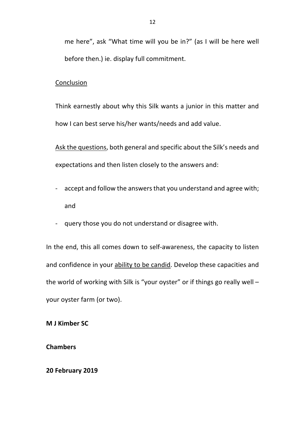me here", ask "What time will you be in?" (as I will be here well before then.) ie. display full commitment.

### Conclusion

Think earnestly about why this Silk wants a junior in this matter and how I can best serve his/her wants/needs and add value.

Ask the questions, both general and specific about the Silk's needs and expectations and then listen closely to the answers and:

- accept and follow the answers that you understand and agree with; and
- query those you do not understand or disagree with.

In the end, this all comes down to self-awareness, the capacity to listen and confidence in your ability to be candid. Develop these capacities and the world of working with Silk is "your oyster" or if things go really well – your oyster farm (or two).

**M J Kimber SC**

**Chambers**

**20 February 2019**